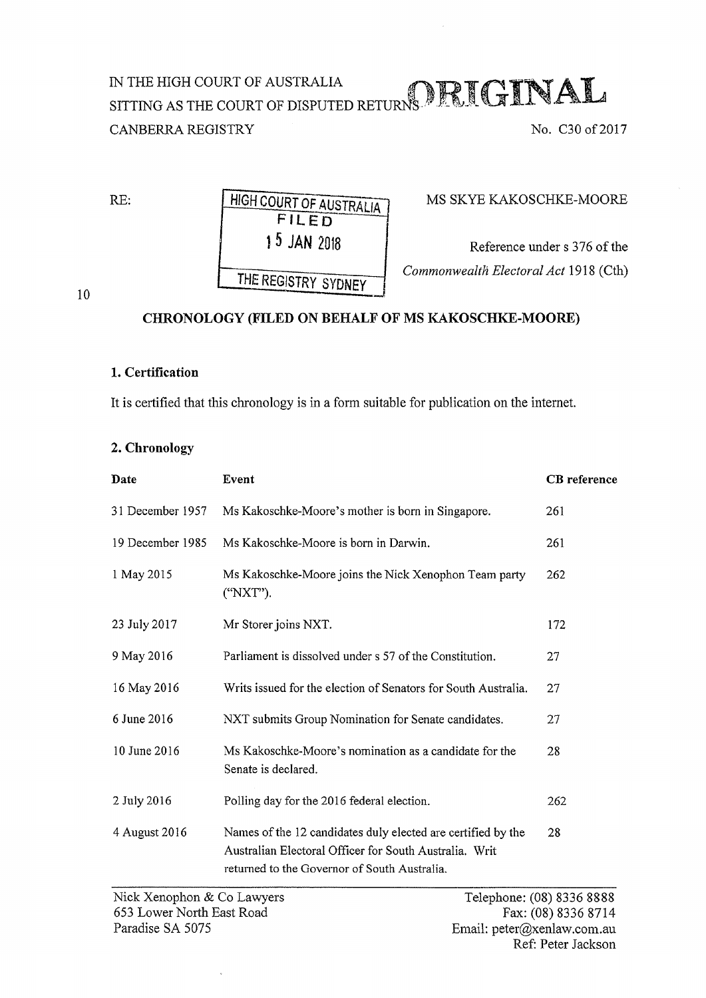## IN THE HIGH COURT OF AUSTRALIA  $\bigcap {\mathbb R}{\mathbb T} \cap {\mathbb T} \cap {\mathbb N}$  ALL SITTING AS THE COURT OF DISPUTED RETURNS. IT IS SUPPORTED THE STATE  $\mathbb{R}^n$ CANBERRA REGISTRY No. C30 of 2017

RE: HIGH COURT OF AUSTRALIA FILED 15 JAN 2018 THE REGISTRY SYDNEY

MS SKYE KAKOSCHKE-MOORE

Reference under s 376 of the *Commonwealth Electoral Act* 1918 (Cth)

10

## CHRONOLOGY (FILED ON BEHALF OF MS KAKOSCHKE-MOORE)

## 1. Certification

It is certified that this chronology is in a form suitable for publication on the internet.

## 2. Chronology

| Date             | Event                                                                                                                                                                  | <b>CB</b> reference |
|------------------|------------------------------------------------------------------------------------------------------------------------------------------------------------------------|---------------------|
| 31 December 1957 | Ms Kakoschke-Moore's mother is born in Singapore.                                                                                                                      | 261                 |
| 19 December 1985 | Ms Kakoschke-Moore is born in Darwin.                                                                                                                                  | 261                 |
| 1 May 2015       | Ms Kakoschke-Moore joins the Nick Xenophon Team party<br>("NXT").                                                                                                      | 262                 |
| 23 July 2017     | Mr Storer joins NXT.                                                                                                                                                   | 172                 |
| 9 May 2016       | Parliament is dissolved under s 57 of the Constitution.                                                                                                                | 27                  |
| 16 May 2016      | Writs issued for the election of Senators for South Australia.                                                                                                         | 27                  |
| 6 June 2016      | NXT submits Group Nomination for Senate candidates.                                                                                                                    | 27                  |
| 10 June 2016     | Ms Kakoschke-Moore's nomination as a candidate for the<br>Senate is declared.                                                                                          | 28                  |
| 2 July 2016      | Polling day for the 2016 federal election.                                                                                                                             | 262                 |
| 4 August 2016    | Names of the 12 candidates duly elected are certified by the<br>Australian Electoral Officer for South Australia. Writ<br>returned to the Governor of South Australia. | 28                  |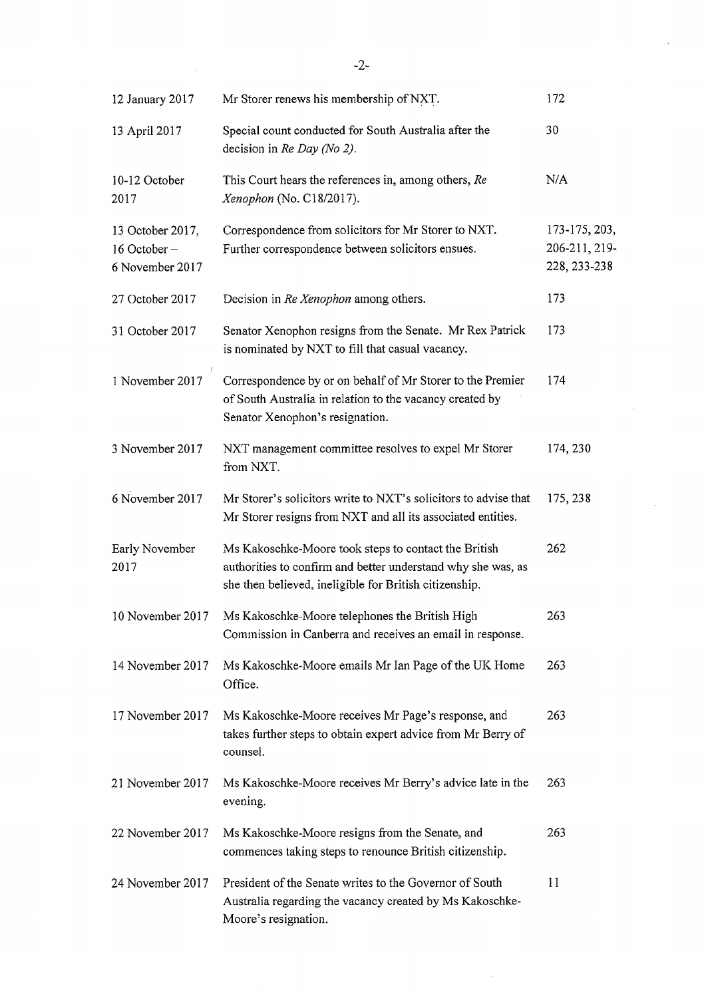| 12 January 2017                                    | Mr Storer renews his membership of NXT.                                                                                                                                        | 172                                            |
|----------------------------------------------------|--------------------------------------------------------------------------------------------------------------------------------------------------------------------------------|------------------------------------------------|
| 13 April 2017                                      | Special count conducted for South Australia after the<br>decision in Re Day (No 2).                                                                                            | 30                                             |
| 10-12 October<br>2017                              | This Court hears the references in, among others, Re<br>Xenophon (No. C18/2017).                                                                                               | N/A                                            |
| 13 October 2017,<br>16 October-<br>6 November 2017 | Correspondence from solicitors for Mr Storer to NXT.<br>Further correspondence between solicitors ensues.                                                                      | 173-175, 203,<br>206-211, 219-<br>228, 233-238 |
| 27 October 2017                                    | Decision in Re Xenophon among others.                                                                                                                                          | 173                                            |
| 31 October 2017                                    | Senator Xenophon resigns from the Senate. Mr Rex Patrick<br>is nominated by NXT to fill that casual vacancy.                                                                   | 173                                            |
| 1 November 2017                                    | Correspondence by or on behalf of Mr Storer to the Premier<br>of South Australia in relation to the vacancy created by<br>Senator Xenophon's resignation.                      | 174                                            |
| 3 November 2017                                    | NXT management committee resolves to expel Mr Storer<br>from NXT.                                                                                                              | 174, 230                                       |
| 6 November 2017                                    | Mr Storer's solicitors write to NXT's solicitors to advise that<br>Mr Storer resigns from NXT and all its associated entities.                                                 | 175, 238                                       |
| Early November<br>2017                             | Ms Kakoschke-Moore took steps to contact the British<br>authorities to confirm and better understand why she was, as<br>she then believed, ineligible for British citizenship. | 262                                            |
| 10 November 2017                                   | Ms Kakoschke-Moore telephones the British High<br>Commission in Canberra and receives an email in response.                                                                    | 263                                            |
| 14 November 2017                                   | Ms Kakoschke-Moore emails Mr Ian Page of the UK Home<br>Office.                                                                                                                | 263                                            |
| 17 November 2017                                   | Ms Kakoschke-Moore receives Mr Page's response, and<br>takes further steps to obtain expert advice from Mr Berry of<br>counsel.                                                | 263                                            |
| 21 November 2017                                   | Ms Kakoschke-Moore receives Mr Berry's advice late in the<br>evening.                                                                                                          | 263                                            |
| 22 November 2017                                   | Ms Kakoschke-Moore resigns from the Senate, and<br>commences taking steps to renounce British citizenship.                                                                     | 263                                            |
| 24 November 2017                                   | President of the Senate writes to the Governor of South<br>Australia regarding the vacancy created by Ms Kakoschke-<br>Moore's resignation.                                    | 11                                             |

 $\label{eq:2.1} \frac{1}{\sqrt{2}}\int_{\mathbb{R}^3}\frac{1}{\sqrt{2}}\left(\frac{1}{\sqrt{2}}\int_{\mathbb{R}^3}\frac{1}{\sqrt{2}}\left(\frac{1}{\sqrt{2}}\int_{\mathbb{R}^3}\frac{1}{\sqrt{2}}\right)\frac{1}{\sqrt{2}}\right)\frac{1}{\sqrt{2}}\,d\mu.$ 

 $\hat{\mathcal{A}}$ 

 $\sim$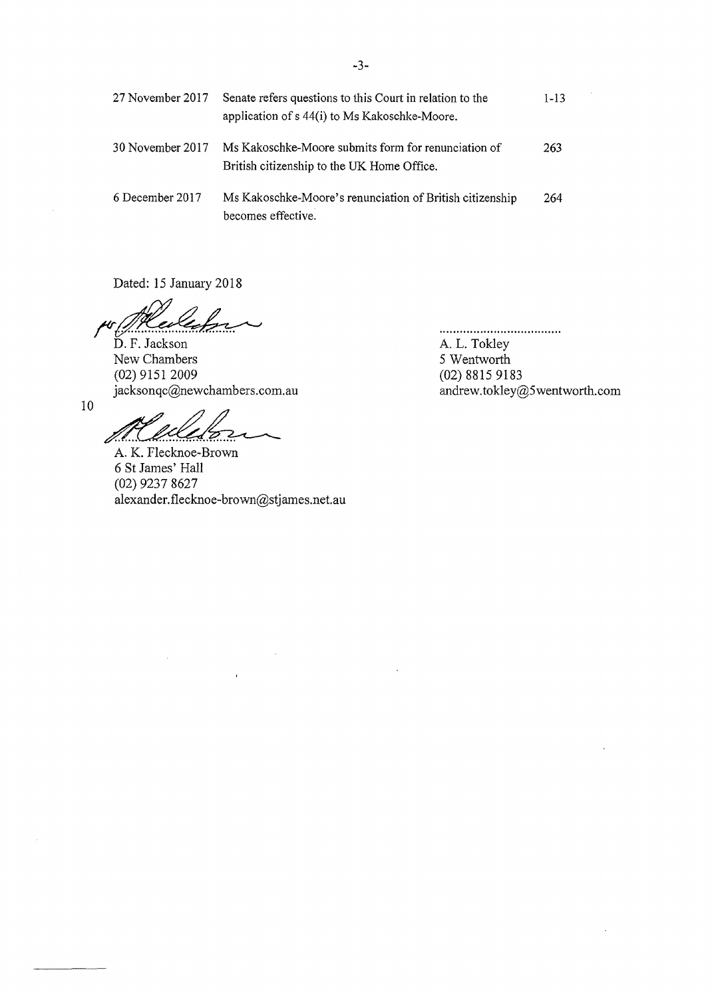| 27 November 2017 | Senate refers questions to this Court in relation to the<br>application of s 44(i) to Ms Kakoschke-Moore. | $1 - 13$ |
|------------------|-----------------------------------------------------------------------------------------------------------|----------|
| 30 November 2017 | Ms Kakoschke-Moore submits form for renunciation of<br>British citizenship to the UK Home Office.         | 263      |
| 6 December 2017  | Ms Kakoschke-Moore's renunciation of British citizenship<br>becomes effective.                            | 264      |

Dated: 15 January 2018

 $D. F.$  Jackson New Chambers (02) 9151 2009 jacksonqc@newchambers.com.au

A. L. Tokley 5 Wentworth (02) 8815 9183 andrew.tokley@5wentworth.com

....................................

10

 $\mathbf{r}$ 

A. K. Flecknoe-Brown 6 StJames' Hall (02) 9237 8627  $alex$ ander.flecknoe-brown@stjames.net.au

 $\mathcal{L}_{\mathcal{A}}$ 

 $\ddot{\phantom{0}}$